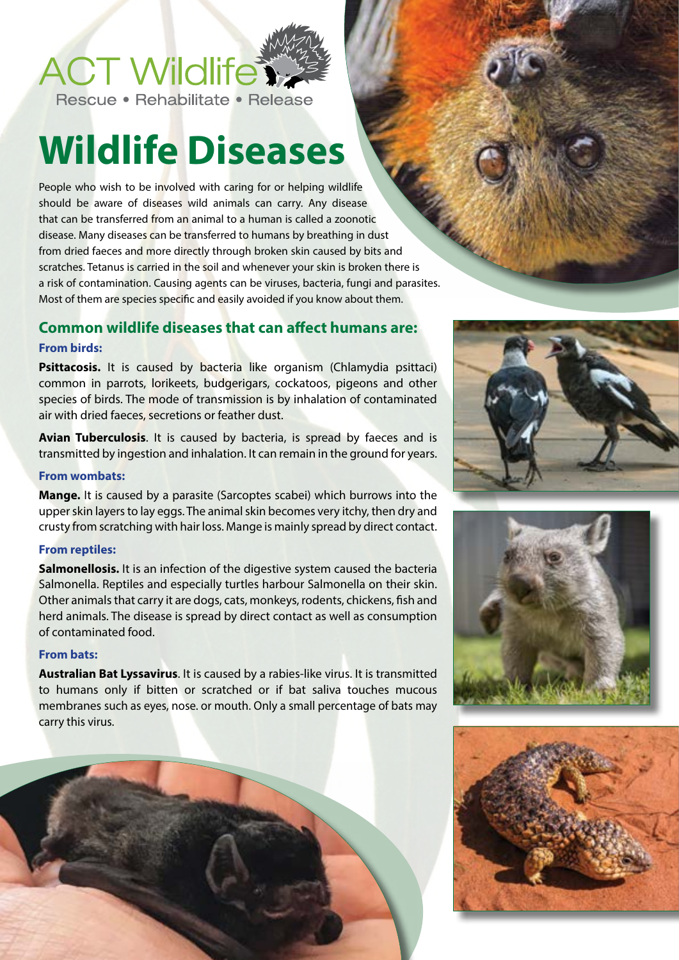## **ACT Wildlife To**

Rescue • Rehabilitate • Release

# **Wildlife Diseases**

People who wish to be involved with caring for or helping wildlife should be aware of diseases wild animals can carry. Any disease that can be transferred from an animal to a human is called a zoonotic disease. Many diseases can be transferred to humans by breathing in dust from dried faeces and more directly through broken skin caused by bits and scratches. Tetanus is carried in the soil and whenever your skin is broken there is a risk of contamination. Causing agents can be viruses, bacteria, fungi and parasites. Most of them are species specific and easily avoided if you know about them.

## **Common wildlife diseases that can affect humans are:**

#### **From birds:**

Psittacosis. It is caused by bacteria like organism (Chlamydia psittaci) common in parrots, lorikeets, budgerigars, cockatoos, pigeons and other species of birds. The mode of transmission is by inhalation of contaminated air with dried faeces, secretions or feather dust.

**Avian Tuberculosis**. It is caused by bacteria, is spread by faeces and is transmitted by ingestion and inhalation. It can remain in the ground for years.

#### **From wombats:**

**Mange.** It is caused by a parasite (Sarcoptes scabei) which burrows into the upper skin layers to lay eggs. The animal skin becomes very itchy, then dry and crusty from scratching with hair loss. Mange is mainly spread by direct contact.

#### **From reptiles:**

**Salmonellosis.** It is an infection of the digestive system caused the bacteria Salmonella. Reptiles and especially turtles harbour Salmonella on their skin. Other animals that carry it are dogs, cats, monkeys, rodents, chickens, fish and herd animals. The disease is spread by direct contact as well as consumption of contaminated food.

#### **From bats:**

**Australian Bat Lyssavirus**. It is caused by a rabies-like virus. It is transmitted to humans only if bitten or scratched or if bat saliva touches mucous membranes such as eyes, nose. or mouth. Only a small percentage of bats may carry this virus.